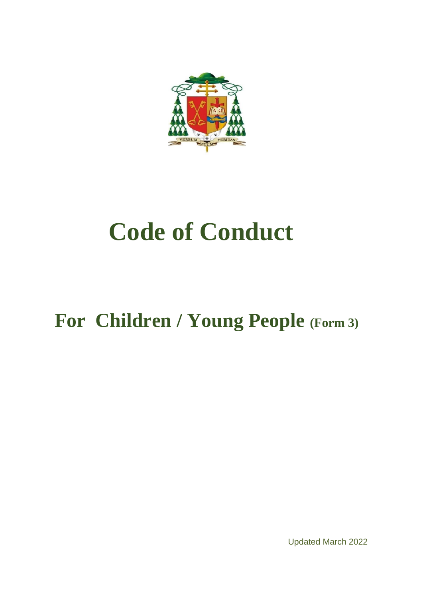

# **Code of Conduct**

## **For Children / Young People (Form 3)**

Updated March 2022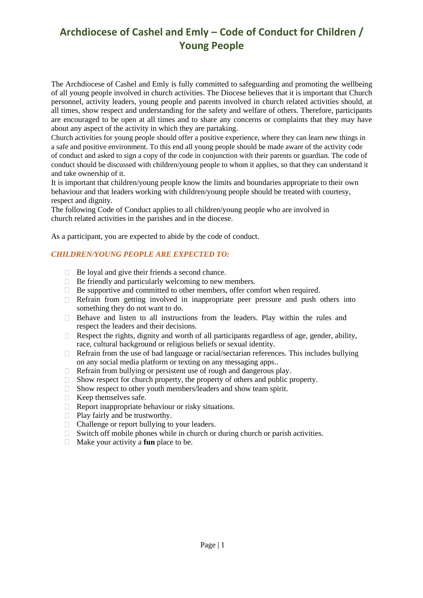### **Archdiocese of Cashel and Emly – Code of Conduct for Children / Young People**

The Archdiocese of Cashel and Emly is fully committed to safeguarding and promoting the wellbeing of all young people involved in church activities. The Diocese believes that it is important that Church personnel, activity leaders, young people and parents involved in church related activities should, at all times, show respect and understanding for the safety and welfare of others. Therefore, participants are encouraged to be open at all times and to share any concerns or complaints that they may have about any aspect of the activity in which they are partaking.

Church activities for young people should offer a positive experience, where they can learn new things in a safe and positive environment. To this end all young people should be made aware of the activity code of conduct and asked to sign a copy of the code in conjunction with their parents or guardian. The code of conduct should be discussed with children/young people to whom it applies, so that they can understand it and take ownership of it.

It is important that children/young people know the limits and boundaries appropriate to their own behaviour and that leaders working with children/young people should be treated with courtesy, respect and dignity.

The following Code of Conduct applies to all children/young people who are involved in church related activities in the parishes and in the diocese.

As a participant, you are expected to abide by the code of conduct.

#### *CHILDREN/YOUNG PEOPLE ARE EXPECTED TO:*

- $\Box$  Be loyal and give their friends a second chance.
- $\Box$  Be friendly and particularly welcoming to new members.
- □ Be supportive and committed to other members, offer comfort when required.
- Refrain from getting involved in inappropriate peer pressure and push others into something they do not want to do.
- $\Box$  Behave and listen to all instructions from the leaders. Play within the rules and respect the leaders and their decisions.
- $\Box$  Respect the rights, dignity and worth of all participants regardless of age, gender, ability, race, cultural background or religious beliefs or sexual identity.
- $\Box$  Refrain from the use of bad language or racial/sectarian references. This includes bullying on any social media platform or texting on any messaging apps..
- $\Box$  Refrain from bullying or persistent use of rough and dangerous play.
- $\Box$  Show respect for church property, the property of others and public property.
- $\Box$  Show respect to other youth members/leaders and show team spirit.
- $\Box$  Keep themselves safe.
- $\Box$  Report inappropriate behaviour or risky situations.
- Play fairly and be trustworthy.
- □ Challenge or report bullying to your leaders.
- $\Box$  Switch off mobile phones while in church or during church or parish activities.
- Make your activity a **fun** place to be.